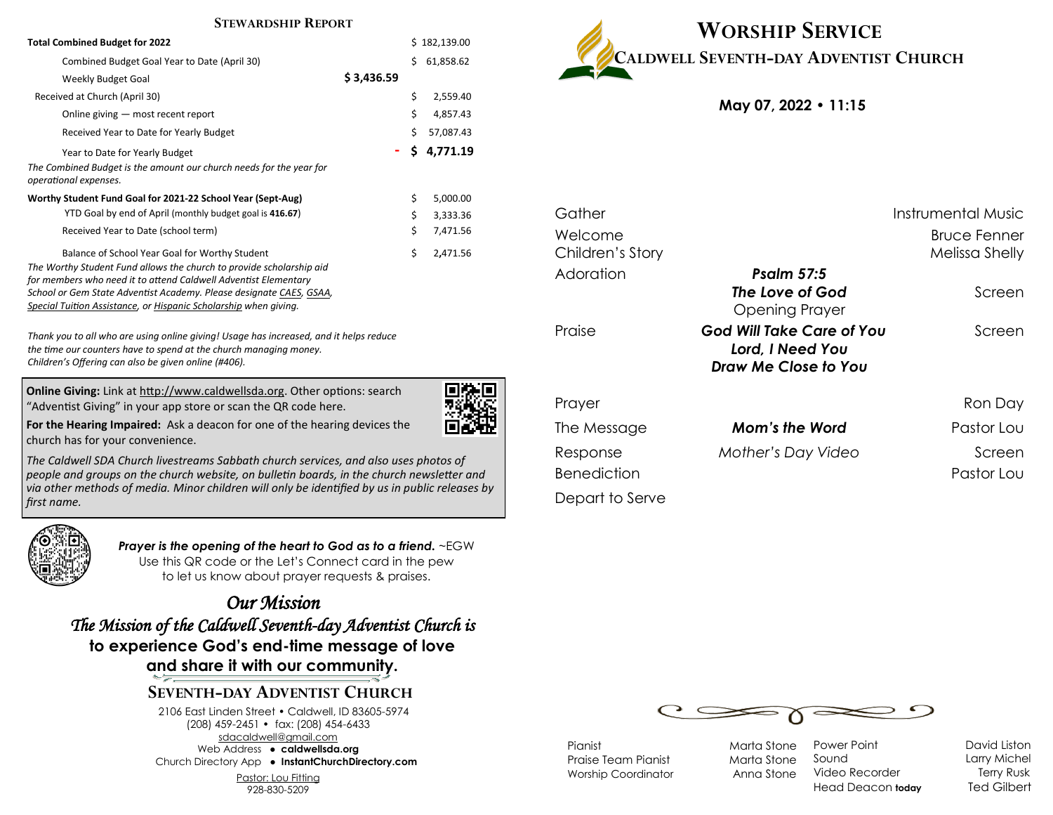#### **STEWARDSHIP REPORT**

| <b>Total Combined Budget for 2022</b>                                                                                                                                                                                                                                                                                                | Ś.         | 182,139.00 |           |
|--------------------------------------------------------------------------------------------------------------------------------------------------------------------------------------------------------------------------------------------------------------------------------------------------------------------------------------|------------|------------|-----------|
| Combined Budget Goal Year to Date (April 30)                                                                                                                                                                                                                                                                                         |            | Ś          | 61,858.62 |
| Weekly Budget Goal                                                                                                                                                                                                                                                                                                                   | \$3,436.59 |            |           |
| Received at Church (April 30)                                                                                                                                                                                                                                                                                                        |            | \$         | 2,559.40  |
| Online giving – most recent report                                                                                                                                                                                                                                                                                                   |            | \$         | 4,857.43  |
| Received Year to Date for Yearly Budget                                                                                                                                                                                                                                                                                              |            | \$         | 57,087.43 |
| Year to Date for Yearly Budget                                                                                                                                                                                                                                                                                                       | ۰          | Ś.         | 4.771.19  |
| The Combined Budget is the amount our church needs for the year for<br>operational expenses.                                                                                                                                                                                                                                         |            |            |           |
| Worthy Student Fund Goal for 2021-22 School Year (Sept-Aug)                                                                                                                                                                                                                                                                          |            | \$         | 5,000.00  |
| YTD Goal by end of April (monthly budget goal is 416.67)                                                                                                                                                                                                                                                                             |            | \$         | 3,333.36  |
| Received Year to Date (school term)                                                                                                                                                                                                                                                                                                  |            | \$         | 7,471.56  |
| Balance of School Year Goal for Worthy Student<br>The Worthy Student Fund allows the church to provide scholarship aid<br>for members who need it to attend Caldwell Adventist Elementary<br>School or Gem State Adventist Academy. Please designate CAES, GSAA,<br>Special Tuition Assistance, or Hispanic Scholarship when giving. |            | \$         | 2,471.56  |

*Thank you to all who are using online giving! Usage has increased, and it helps reduce the time our counters have to spend at the church managing money. Children's Offering can also be given online (#406).*

**Online Giving:** Link at http://www.caldwellsda.org. Other options: search "Adventist Giving" in your app store or scan the QR code here.



**For the Hearing Impaired:** Ask a deacon for one of the hearing devices the church has for your convenience.

*The Caldwell SDA Church livestreams Sabbath church services, and also uses photos of people and groups on the church website, on bulletin boards, in the church newsletter and via other methods of media. Minor children will only be identified by us in public releases by first name.*



*Prayer is the opening of the heart to God as to a friend.* ~EGW Use this QR code or the Let's Connect card in the pew to let us know about prayer requests & praises.

*Our Mission The Mission of the Caldwell Seventh-day Adventist Church is*  **to experience God's end-time message of love and share it with our community.**

## **SEVENTH-DAY ADVENTIST CHURCH**

2106 East Linden Street • Caldwell, ID 83605-5974 (208) 459-2451 • fax: (208) 454-6433 sdacaldwell@gmail.com Web Address ● **caldwellsda.org**  Church Directory App ● **InstantChurchDirectory.com**

Pastor: Lou Fitting

928-830-5209



**May 07, 2022 • 11:15**

| Gather             |                           | Instrumental Music  |
|--------------------|---------------------------|---------------------|
| Welcome            |                           | <b>Bruce Fenner</b> |
| Children's Story   |                           | Melissa Shelly      |
| Adoration          | <b>Psalm 57:5</b>         |                     |
|                    | The Love of God           | Screen              |
|                    | <b>Opening Prayer</b>     |                     |
| Praise             | God Will Take Care of You | Screen              |
|                    | Lord, I Need You          |                     |
|                    | Draw Me Close to You      |                     |
|                    |                           |                     |
| Prayer             |                           | Ron Day             |
| The Message        | Mom's the Word            | Pastor Lou          |
| Response           | Mother's Day Video        | Screen              |
| <b>Benediction</b> |                           | Pastor Lou          |
| Depart to Serve    |                           |                     |



Pianist Marta Stone Praise Team Pianist Marta Stone Worship Coordinator **Anna Stone** 

Power Point **David Liston** Sound Larry Michel Video Recorder Terry Rusk Head Deacon **today** Ted Gilbert